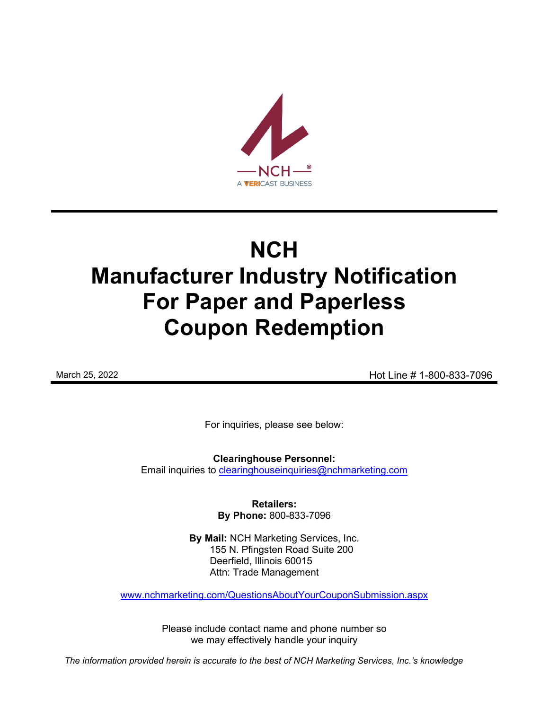

# **NCH Manufacturer Industry Notification For Paper and Paperless Coupon Redemption**

March 25, 2022 **Hot Line # 1-800-833-7096** 

For inquiries, please see below:

**Clearinghouse Personnel:**  Email inquiries to [clearinghouseinquiries@nchmarketing.com](mailto:clearinghouseinquiries@nchmarketing.com)

> **Retailers: By Phone:** 800-833-7096

**By Mail:** NCH Marketing Services, Inc. 155 N. Pfingsten Road Suite 200 Deerfield, Illinois 60015 Attn: Trade Management

[www.nchmarketing.com/QuestionsAboutYourCouponSubmission.aspx](http://www.nchmarketing.com/QuestionsAboutYourCouponSubmission.aspx)

Please include contact name and phone number so we may effectively handle your inquiry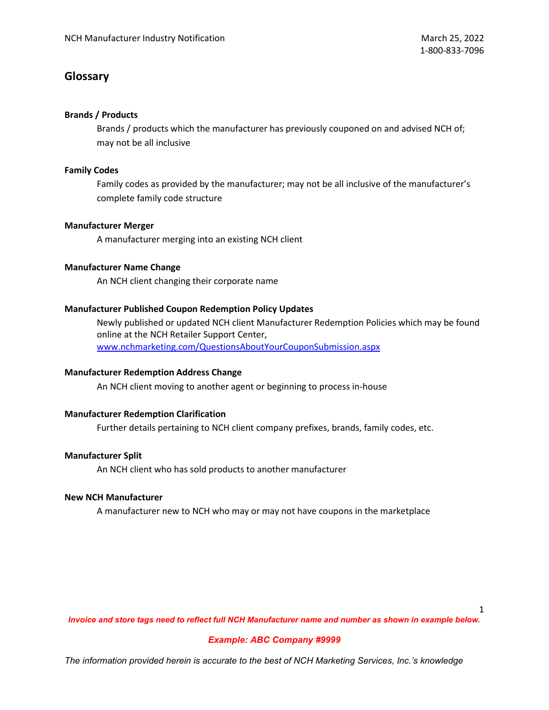# **Glossary**

## **Brands / Products**

Brands / products which the manufacturer has previously couponed on and advised NCH of; may not be all inclusive

## **Family Codes**

Family codes as provided by the manufacturer; may not be all inclusive of the manufacturer's complete family code structure

## **Manufacturer Merger**

A manufacturer merging into an existing NCH client

## **Manufacturer Name Change**

An NCH client changing their corporate name

## **Manufacturer Published Coupon Redemption Policy Updates**

Newly published or updated NCH client Manufacturer Redemption Policies which may be found online at the NCH Retailer Support Center, [www.nchmarketing.com/QuestionsAboutYourCouponSubmission.aspx](http://www.nchmarketing.com/QuestionsAboutYourCouponSubmission.aspx)

## **Manufacturer Redemption Address Change**

An NCH client moving to another agent or beginning to process in-house

## **Manufacturer Redemption Clarification**

Further details pertaining to NCH client company prefixes, brands, family codes, etc.

## **Manufacturer Split**

An NCH client who has sold products to another manufacturer

#### **New NCH Manufacturer**

A manufacturer new to NCH who may or may not have coupons in the marketplace

1

*Invoice and store tags need to reflect full NCH Manufacturer name and number as shown in example below.*

## *Example: ABC Company #9999*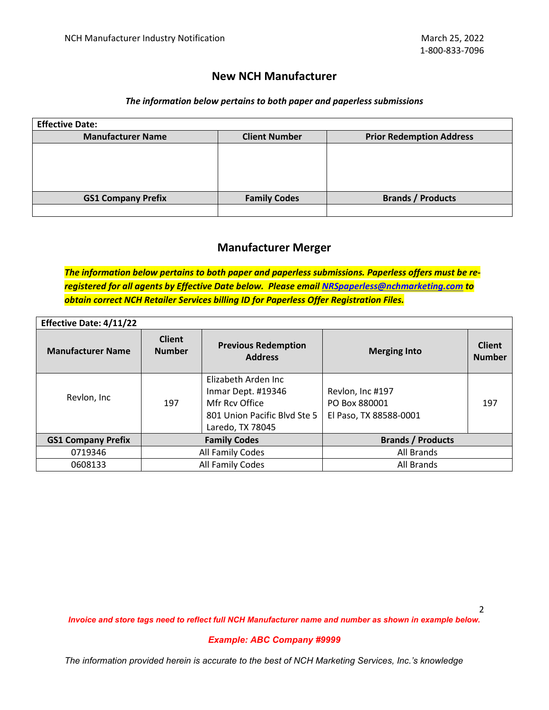## **New NCH Manufacturer**

#### *The information below pertains to both paper and paperless submissions*

| <b>Effective Date:</b>    |                      |                                 |
|---------------------------|----------------------|---------------------------------|
| <b>Manufacturer Name</b>  | <b>Client Number</b> | <b>Prior Redemption Address</b> |
|                           |                      |                                 |
|                           |                      |                                 |
|                           |                      |                                 |
|                           |                      |                                 |
| <b>GS1 Company Prefix</b> | <b>Family Codes</b>  | <b>Brands / Products</b>        |
|                           |                      |                                 |

# **Manufacturer Merger**

*The information below pertains to both paper and paperless submissions. Paperless offers must be reregistered for all agents by Effective Date below. Please email [NRSpaperless@nchmarketing.com](mailto:NRSpaperless@nchmarketing.com) to obtain correct NCH Retailer Services billing ID for Paperless Offer Registration Files.* 

| <b>Effective Date: 4/11/22</b> |                                |                                                                                                                 |                                                             |                                |
|--------------------------------|--------------------------------|-----------------------------------------------------------------------------------------------------------------|-------------------------------------------------------------|--------------------------------|
| <b>Manufacturer Name</b>       | <b>Client</b><br><b>Number</b> | <b>Previous Redemption</b><br><b>Address</b>                                                                    | <b>Merging Into</b>                                         | <b>Client</b><br><b>Number</b> |
| Revlon, Inc                    | 197                            | Elizabeth Arden Inc<br>Inmar Dept. #19346<br>Mfr Rcy Office<br>801 Union Pacific Blyd Ste 5<br>Laredo, TX 78045 | Revlon, Inc #197<br>PO Box 880001<br>El Paso, TX 88588-0001 | 197                            |
| <b>GS1 Company Prefix</b>      | <b>Family Codes</b>            |                                                                                                                 | <b>Brands / Products</b>                                    |                                |
| 0719346                        | All Family Codes               |                                                                                                                 | All Brands                                                  |                                |
| 0608133                        | All Family Codes               |                                                                                                                 | All Brands                                                  |                                |

*Invoice and store tags need to reflect full NCH Manufacturer name and number as shown in example below.*

#### *Example: ABC Company #9999*

*The information provided herein is accurate to the best of NCH Marketing Services, Inc.'s knowledge*

2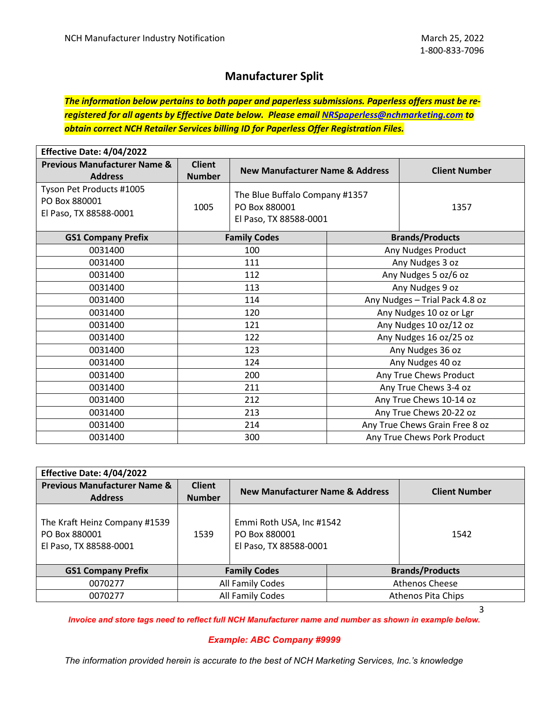# **Manufacturer Split**

*The information below pertains to both paper and paperless submissions. Paperless offers must be reregistered for all agents by Effective Date below. Please email [NRSpaperless@nchmarketing.com](mailto:NRSpaperless@nchmarketing.com) to obtain correct NCH Retailer Services billing ID for Paperless Offer Registration Files.* 

| Effective Date: 4/04/2022                                           |                                |                                                                           |                                |                                |  |
|---------------------------------------------------------------------|--------------------------------|---------------------------------------------------------------------------|--------------------------------|--------------------------------|--|
| <b>Previous Manufacturer Name &amp;</b><br><b>Address</b>           | <b>Client</b><br><b>Number</b> | <b>New Manufacturer Name &amp; Address</b>                                |                                | <b>Client Number</b>           |  |
| Tyson Pet Products #1005<br>PO Box 880001<br>El Paso, TX 88588-0001 | 1005                           | The Blue Buffalo Company #1357<br>PO Box 880001<br>El Paso, TX 88588-0001 |                                | 1357                           |  |
| <b>GS1 Company Prefix</b>                                           |                                | <b>Family Codes</b>                                                       |                                | <b>Brands/Products</b>         |  |
| 0031400                                                             |                                | 100                                                                       |                                | Any Nudges Product             |  |
| 0031400                                                             | 111                            |                                                                           | Any Nudges 3 oz                |                                |  |
| 0031400                                                             | 112                            |                                                                           |                                | Any Nudges 5 oz/6 oz           |  |
| 0031400                                                             | 113                            |                                                                           | Any Nudges 9 oz                |                                |  |
| 0031400                                                             | 114                            |                                                                           | Any Nudges - Trial Pack 4.8 oz |                                |  |
| 0031400                                                             | 120                            |                                                                           |                                | Any Nudges 10 oz or Lgr        |  |
| 0031400                                                             | 121                            |                                                                           | Any Nudges 10 oz/12 oz         |                                |  |
| 0031400                                                             | 122                            |                                                                           |                                | Any Nudges 16 oz/25 oz         |  |
| 0031400                                                             |                                | 123                                                                       |                                | Any Nudges 36 oz               |  |
| 0031400                                                             | 124                            |                                                                           | Any Nudges 40 oz               |                                |  |
| 0031400                                                             | 200                            |                                                                           | Any True Chews Product         |                                |  |
| 0031400                                                             | 211                            |                                                                           |                                | Any True Chews 3-4 oz          |  |
| 0031400                                                             | 212                            |                                                                           |                                | Any True Chews 10-14 oz        |  |
| 0031400                                                             | 213                            |                                                                           | Any True Chews 20-22 oz        |                                |  |
| 0031400                                                             | 214                            |                                                                           |                                | Any True Chews Grain Free 8 oz |  |
| 0031400                                                             | 300                            |                                                                           |                                | Any True Chews Pork Product    |  |

| Effective Date: 4/04/2022                                                |                                |                                                                     |  |                        |
|--------------------------------------------------------------------------|--------------------------------|---------------------------------------------------------------------|--|------------------------|
| <b>Previous Manufacturer Name &amp;</b><br><b>Address</b>                | <b>Client</b><br><b>Number</b> | New Manufacturer Name & Address                                     |  | <b>Client Number</b>   |
| The Kraft Heinz Company #1539<br>PO Box 880001<br>El Paso, TX 88588-0001 | 1539                           | Emmi Roth USA, Inc #1542<br>PO Box 880001<br>El Paso, TX 88588-0001 |  | 1542                   |
| <b>GS1 Company Prefix</b>                                                | <b>Family Codes</b>            |                                                                     |  | <b>Brands/Products</b> |
| 0070277                                                                  | All Family Codes               |                                                                     |  | <b>Athenos Cheese</b>  |
| 0070277                                                                  | All Family Codes               |                                                                     |  | Athenos Pita Chips     |

3

*Invoice and store tags need to reflect full NCH Manufacturer name and number as shown in example below.*

#### *Example: ABC Company #9999*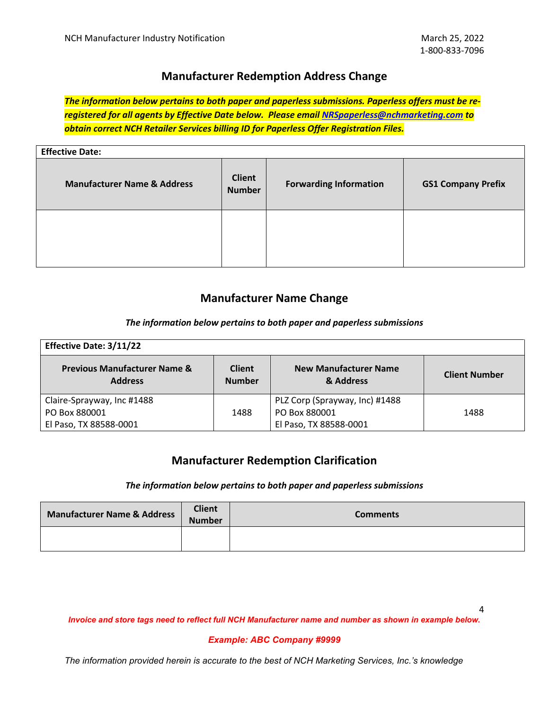# **Manufacturer Redemption Address Change**

*The information below pertains to both paper and paperless submissions. Paperless offers must be reregistered for all agents by Effective Date below. Please email [NRSpaperless@nchmarketing.com](mailto:NRSpaperless@nchmarketing.com) to obtain correct NCH Retailer Services billing ID for Paperless Offer Registration Files.* 

| <b>Effective Date:</b>                 |                                |                               |                           |
|----------------------------------------|--------------------------------|-------------------------------|---------------------------|
| <b>Manufacturer Name &amp; Address</b> | <b>Client</b><br><b>Number</b> | <b>Forwarding Information</b> | <b>GS1 Company Prefix</b> |
|                                        |                                |                               |                           |

# **Manufacturer Name Change**

## *The information below pertains to both paper and paperless submissions*

| <b>Effective Date: 3/11/22</b>                            |                                |                                           |                      |
|-----------------------------------------------------------|--------------------------------|-------------------------------------------|----------------------|
| <b>Previous Manufacturer Name &amp;</b><br><b>Address</b> | <b>Client</b><br><b>Number</b> | <b>New Manufacturer Name</b><br>& Address | <b>Client Number</b> |
| Claire-Sprayway, Inc #1488                                |                                | PLZ Corp (Sprayway, Inc) #1488            |                      |
| PO Box 880001                                             | 1488                           | PO Box 880001                             | 1488                 |
| El Paso, TX 88588-0001                                    |                                | El Paso, TX 88588-0001                    |                      |

# **Manufacturer Redemption Clarification**

#### *The information below pertains to both paper and paperless submissions*

| <b>Manufacturer Name &amp; Address</b> | <b>Client</b><br><b>Number</b> | <b>Comments</b> |
|----------------------------------------|--------------------------------|-----------------|
|                                        |                                |                 |

*Invoice and store tags need to reflect full NCH Manufacturer name and number as shown in example below.*

#### *Example: ABC Company #9999*

*The information provided herein is accurate to the best of NCH Marketing Services, Inc.'s knowledge*

4